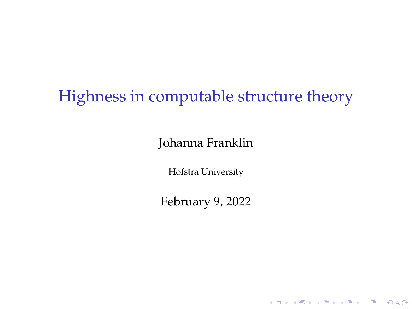# Highness in computable structure theory

#### Johanna Franklin

Hofstra University

February 9, 2022

**KID KINK VEX KEX NE YORCH**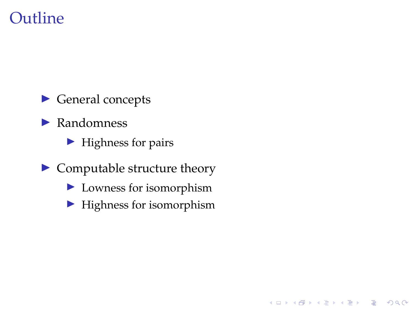## **Outline**

 $\blacktriangleright$  General concepts

 $\blacktriangleright$  Randomness

 $\blacktriangleright$  Highness for pairs

- $\blacktriangleright$  Computable structure theory
	- $\blacktriangleright$  Lowness for isomorphism
	- $\blacktriangleright$  Highness for isomorphism

K ロ ▶ K @ ▶ K 할 > K 할 > 1 할 > 1 이익어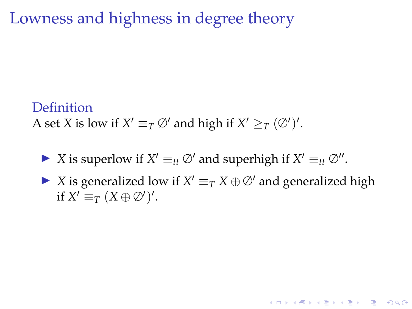Lowness and highness in degree theory

#### Definition

A set *X* is low if  $X' \equiv_T \varnothing'$  and high if  $X' \geq_T (\varnothing')'.$ 

- ▶ *X* is superlow if *X'*  $\equiv$ <sub>*tt</sub>* ∅' and superhigh if *X'*  $\equiv$ <sub>*tt*</sub> ∅''.</sub>
- ▶ *X* is generalized low if  $X' \equiv_T X \oplus \emptyset'$  and generalized high if  $X' \equiv_T (X \oplus \emptyset')'.$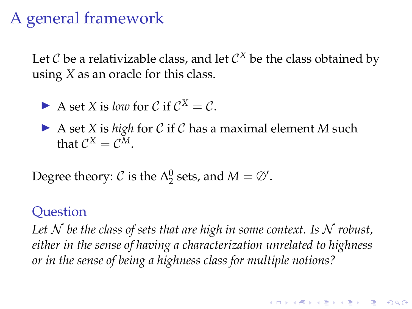# A general framework

Let  $\mathcal C$  be a relativizable class, and let  $\mathcal C^X$  be the class obtained by using *X* as an oracle for this class.

A set X is *low* for C if 
$$
C^X = C
$$
.

▶ A set *X* is *high* for *C* if *C* has a maximal element *M* such that  $C^X = C^M$ .

Degree theory:  $C$  is the  $\Delta_2^0$  sets, and  $M = \emptyset'$ .

#### **Question**

Let  $N$  be the class of sets that are high in some context. Is  $N$  robust, *either in the sense of having a characterization unrelated to highness or in the sense of being a highness class for multiple notions?*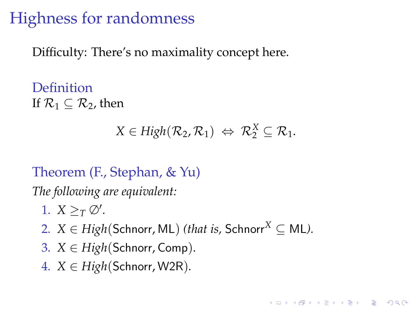# Highness for randomness

Difficulty: There's no maximality concept here.

Definition If  $\mathcal{R}_1 \subset \mathcal{R}_2$ , then

$$
X \in High(\mathcal{R}_2, \mathcal{R}_1) \Leftrightarrow \mathcal{R}_2^X \subseteq \mathcal{R}_1.
$$

**KORKARYKERKE POLO** 

## Theorem (F., Stephan, & Yu)

*The following are equivalent:*

- 1.  $X \geq_T \varnothing'$ .
- 2.  $X \in High(Schnorr, ML)$  *(that is, Schnorr*<sup>X</sup>  $\subseteq ML$ *).*
- 3.  $X \in High(Schnorr, Comp)$ .
- 4.  $X \in High(Schnorr, W2R)$ .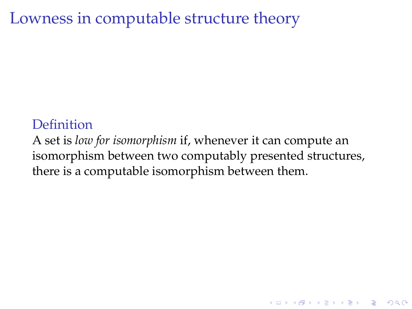## Lowness in computable structure theory

### **Definition**

A set is *low for isomorphism* if, whenever it can compute an isomorphism between two computably presented structures, there is a computable isomorphism between them.

**KID KINK VEX KEX NE YORCH**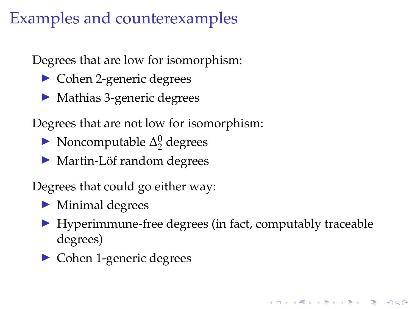# Examples and counterexamples

Degrees that are low for isomorphism:

- $\triangleright$  Cohen 2-generic degrees
- $\blacktriangleright$  Mathias 3-generic degrees

Degrees that are not low for isomorphism:

- Noncomputable  $\Delta_2^0$  degrees
- ▶ Martin-Löf random degrees

Degrees that could go either way:

- $\blacktriangleright$  Minimal degrees
- $\blacktriangleright$  Hyperimmune-free degrees (in fact, computably traceable degrees)

**KORKARYKERKE POLO** 

 $\triangleright$  Cohen 1-generic degrees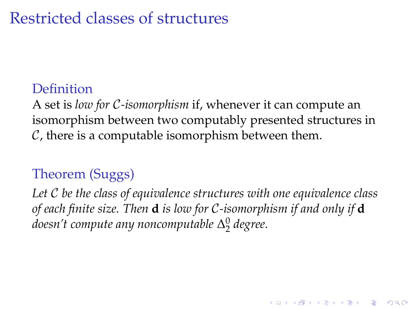# Restricted classes of structures

### Definition

A set is *low for* C*-isomorphism* if, whenever it can compute an isomorphism between two computably presented structures in  $C$ , there is a computable isomorphism between them.

## Theorem (Suggs)

*Let* C *be the class of equivalence structures with one equivalence class of each finite size. Then* **d** *is low for* C*-isomorphism if and only if* **d** *doesn't compute any noncomputable* ∆ 0 2 *degree.*

**KID KINK VEX KEX NE YORCH**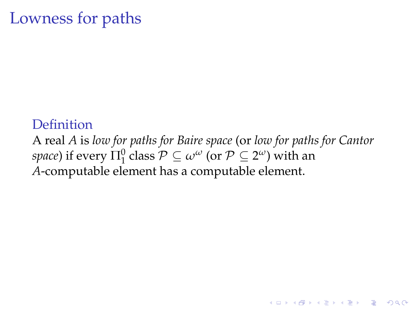# Lowness for paths

**Definition** A real *A* is *low for paths for Baire space* (or *low for paths for Cantor*  $space$ ) if every  $\Pi^0_1$  class  $\mathcal{P} \subseteq \omega^\omega$  (or  $\mathcal{P} \subseteq 2^\omega$ ) with an *A*-computable element has a computable element.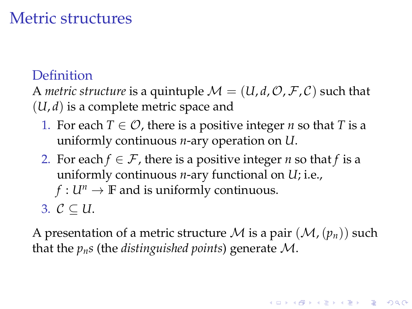# Metric structures

## Definition

A *metric structure* is a quintuple  $\mathcal{M} = (U, d, \mathcal{O}, \mathcal{F}, \mathcal{C})$  such that (*U*, *d*) is a complete metric space and

- 1. For each  $T \in \mathcal{O}$ , there is a positive integer *n* so that *T* is a uniformly continuous *n*-ary operation on *U*.
- 2. For each  $f \in \mathcal{F}$ , there is a positive integer *n* so that *f* is a uniformly continuous *n*-ary functional on *U*; i.e.,
	- *f* :  $U^n \rightarrow \mathbb{F}$  and is uniformly continuous.
- 3.  $C \subset U$ .

A presentation of a metric structure M is a pair  $(\mathcal{M},(p_n))$  such that the *pns* (the *distinguished points*) generate M.

**A O A G A 4 O A C A G A 4 O A 4 O A C A**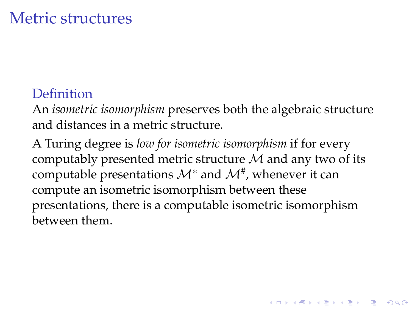## Metric structures

## Definition

An *isometric isomorphism* preserves both the algebraic structure and distances in a metric structure.

A Turing degree is *low for isometric isomorphism* if for every computably presented metric structure  $M$  and any two of its computable presentations  $\mathcal{M}^*$  and  $\mathcal{M}^\#$ , whenever it can compute an isometric isomorphism between these presentations, there is a computable isometric isomorphism between them.

**A O A G A 4 O A C A G A 4 O A 4 O A C A**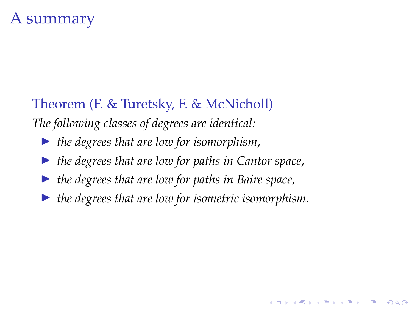# A summary

Theorem (F. & Turetsky, F. & McNicholl) *The following classes of degrees are identical:*

- ▶ *the degrees that are low for isomorphism*,
- ▶ the degrees that are low for paths in Cantor space,
- I *the degrees that are low for paths in Baire space,*
- I *the degrees that are low for isometric isomorphism.*

**KORK STRAIN A STRAIN A STRAIN**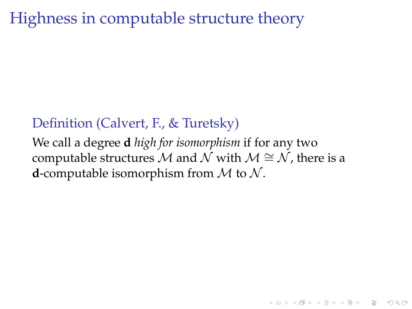# Highness in computable structure theory

### Definition (Calvert, F., & Turetsky)

We call a degree **d** *high for isomorphism* if for any two computable structures M and N with  $M \cong N$ , there is a **d**-computable isomorphism from  $M$  to  $N$ .

**KOLKARYKELKEL & MAG**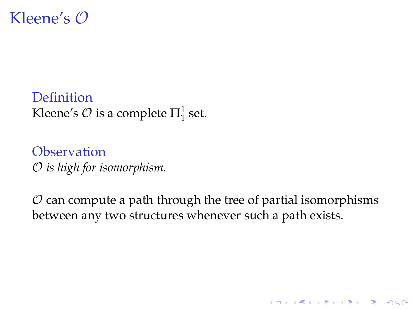

Definition Kleene's  $\mathcal O$  is a complete  $\Pi^1_1$  set.

**Observation** O *is high for isomorphism.*

 $\mathcal O$  can compute a path through the tree of partial isomorphisms between any two structures whenever such a path exists.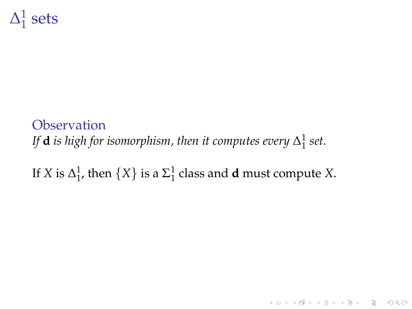#### $\Delta^1_1$  $\frac{1}{1}$  sets

## **Observation** If  $\mathbf d$  is high for isomorphism, then it computes every  $\Delta^1_1$  set.

# If *X* is  $\Delta_1^1$ , then  $\{X\}$  is a  $\Sigma_1^1$  class and **d** must compute *X*.

K ロ ▶ K @ ▶ K 할 > K 할 > 1 할 > 1 이익어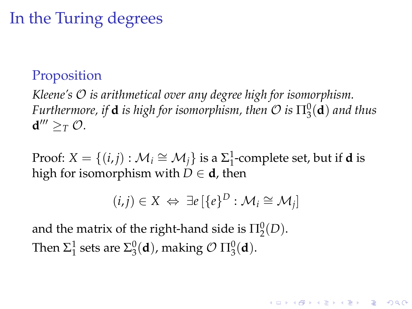# In the Turing degrees

### Proposition

*Kleene's* O *is arithmetical over any degree high for isomorphism. Furthermore, if* **d** *is high for isomorphism, then*  $\mathcal O$  *is*  $\Pi^0_3(\mathbf d)$  *and thus*  $d''' \geq_T O$ .

Proof:  $X = \{(i, j) : \mathcal{M}_i \cong \mathcal{M}_j\}$  is a  $\Sigma_1^1$ -complete set, but if **d** is high for isomorphism with  $D \in \mathbf{d}$ , then

$$
(i,j) \in X \Leftrightarrow \exists e \left[ \{e\}^D : \mathcal{M}_i \cong \mathcal{M}_j \right]
$$

and the matrix of the right-hand side is  $\Pi^0_2(D)$ . Then  $\Sigma^1_1$  sets are  $\Sigma^0_3(\mathbf{d})$ , making  $\mathcal{O} \Pi^0_3(\mathbf{d})$ .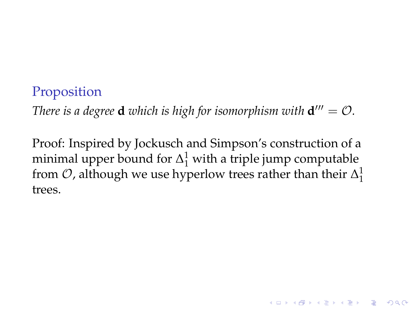#### Proposition

*There is a degree* **d** *which is high for isomorphism with*  $d''' = O$ *.* 

Proof: Inspired by Jockusch and Simpson's construction of a minimal upper bound for  $\Delta_1^1$  with a triple jump computable from  $\mathcal{O}$ , although we use hyperlow trees rather than their  $\Delta_1^1$ trees.

**A O A G A 4 O A C A G A 4 O A 4 O A C A**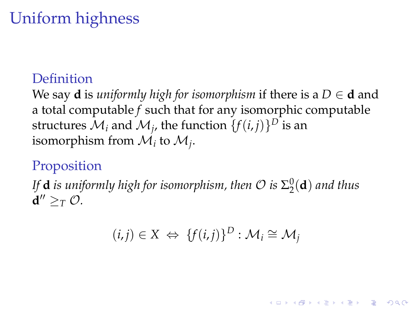# Uniform highness

### Definition

We say **d** is *uniformly high for isomorphism* if there is a  $D \in \mathbf{d}$  and a total computable *f* such that for any isomorphic computable structures  $\mathcal{M}_i$  and  $\mathcal{M}_j$ , the function  $\{f(i,j)\}^D$  is an isomorphism from  $\mathcal{M}_i$  to  $\mathcal{M}_j$ .

### Proposition

If  $\mathbf{d}$  *is uniformly high for isomorphism, then*  $\mathcal{O}$  *is*  $\Sigma^0_2(\mathbf{d})$  *and thus*  $d'' \geq_T O$ .

$$
(i,j) \in X \Leftrightarrow \{f(i,j)\}^D : \mathcal{M}_i \cong \mathcal{M}_j
$$

**A O A G A 4 O A C A G A 4 O A 4 O A C A**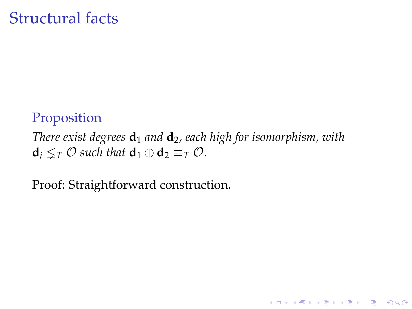## Structural facts

### Proposition

*There exist degrees* **d**<sup>1</sup> *and* **d**2*, each high for isomorphism, with*  $\mathbf{d}_i \leq_T \mathcal{O}$  *such that*  $\mathbf{d}_1 \oplus \mathbf{d}_2 \equiv_T \mathcal{O}$ *.* 

K ロ ▶ K @ ▶ K 할 > K 할 > 1 할 > 1 이익어

Proof: Straightforward construction.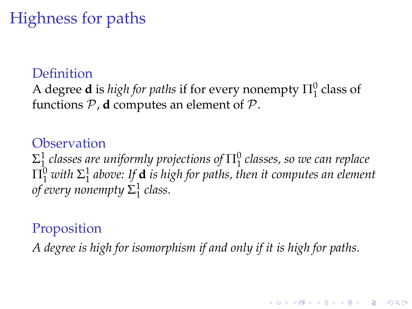# Highness for paths

### Definition

A degree **d** is *high for paths* if for every nonempty  $\Pi_1^0$  class of functions  $P$ , **d** computes an element of  $P$ .

### **Observation**

 $\Sigma^1_1$  classes are uniformly projections of  $\Pi^0_1$  classes, so we can replace  $\Pi^0_1$  with  $\Sigma^1_1$  above: If **d** is high for paths, then it computes an element *of every nonempty* Σ 1 1 *class.*

## Proposition

*A degree is high for isomorphism if and only if it is high for paths.*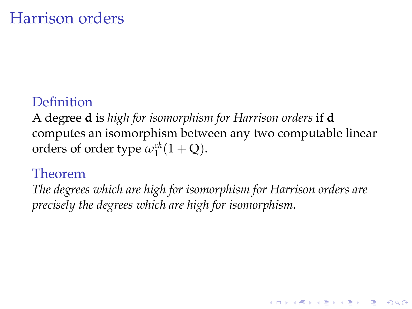# Harrison orders

## Definition

A degree **d** is *high for isomorphism for Harrison orders* if **d** computes an isomorphism between any two computable linear orders of order type  $\omega_1^{ck}(1 + \mathbb{Q})$ .

### Theorem

*The degrees which are high for isomorphism for Harrison orders are precisely the degrees which are high for isomorphism.*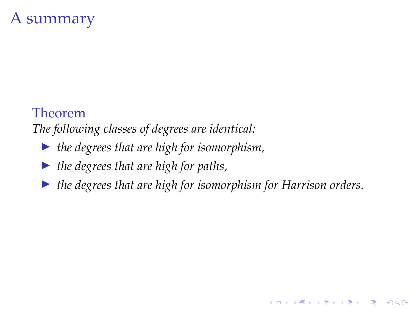# A summary

#### Theorem

*The following classes of degrees are identical:*

- ▶ *the degrees that are high for isomorphism*,
- I *the degrees that are high for paths,*
- I *the degrees that are high for isomorphism for Harrison orders.*

**KORK STRAIN A STRAIN A STRAIN**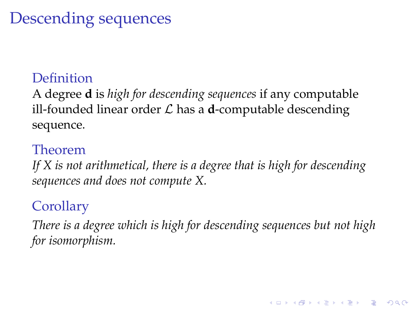# Descending sequences

### Definition

A degree **d** is *high for descending sequences* if any computable ill-founded linear order  $\mathcal L$  has a **d**-computable descending sequence.

### Theorem

*If X is not arithmetical, there is a degree that is high for descending sequences and does not compute X.*

## **Corollary**

*There is a degree which is high for descending sequences but not high for isomorphism.*